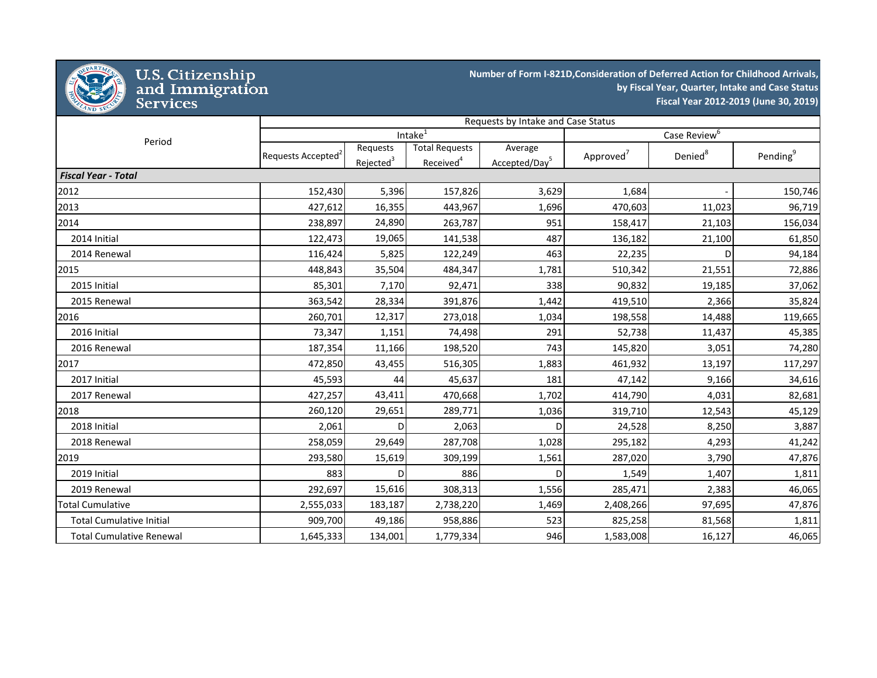

## U.S. Citizenship<br>and Immigration<br>Services

**Number of Form I-821D,Consideration of Deferred Action for Childhood Arrivals, by Fiscal Year, Quarter, Intake and Case Status Fiscal Year 2012-2019 (June 30, 2019)**

|                                 | Requests by Intake and Case Status |                       |                       |                           |                       |                     |                      |  |
|---------------------------------|------------------------------------|-----------------------|-----------------------|---------------------------|-----------------------|---------------------|----------------------|--|
| Period                          |                                    |                       | Intake <sup>1</sup>   | Case Review <sup>6</sup>  |                       |                     |                      |  |
|                                 | Requests Accepted <sup>2</sup>     | Requests              | <b>Total Requests</b> | Average                   | Approved <sup>7</sup> | Denied <sup>8</sup> | Pending <sup>9</sup> |  |
|                                 |                                    | Rejected <sup>3</sup> | Received <sup>4</sup> | Accepted/Day <sup>5</sup> |                       |                     |                      |  |
| <b>Fiscal Year - Total</b>      |                                    |                       |                       |                           |                       |                     |                      |  |
| 2012                            | 152,430                            | 5,396                 | 157,826               | 3,629                     | 1,684                 |                     | 150,746              |  |
| 2013                            | 427,612                            | 16,355                | 443,967               | 1,696                     | 470,603               | 11,023              | 96,719               |  |
| 2014                            | 238,897                            | 24,890                | 263,787               | 951                       | 158,417               | 21,103              | 156,034              |  |
| 2014 Initial                    | 122,473                            | 19,065                | 141,538               | 487                       | 136,182               | 21,100              | 61,850               |  |
| 2014 Renewal                    | 116,424                            | 5,825                 | 122,249               | 463                       | 22,235                | D                   | 94,184               |  |
| 2015                            | 448,843                            | 35,504                | 484,347               | 1,781                     | 510,342               | 21,551              | 72,886               |  |
| 2015 Initial                    | 85,301                             | 7,170                 | 92,471                | 338                       | 90,832                | 19,185              | 37,062               |  |
| 2015 Renewal                    | 363,542                            | 28,334                | 391,876               | 1,442                     | 419,510               | 2,366               | 35,824               |  |
| 2016                            | 260,701                            | 12,317                | 273,018               | 1,034                     | 198,558               | 14,488              | 119,665              |  |
| 2016 Initial                    | 73,347                             | 1,151                 | 74,498                | 291                       | 52,738                | 11,437              | 45,385               |  |
| 2016 Renewal                    | 187,354                            | 11,166                | 198,520               | 743                       | 145,820               | 3,051               | 74,280               |  |
| 2017                            | 472,850                            | 43,455                | 516,305               | 1,883                     | 461,932               | 13,197              | 117,297              |  |
| 2017 Initial                    | 45,593                             | 44                    | 45,637                | 181                       | 47,142                | 9,166               | 34,616               |  |
| 2017 Renewal                    | 427,257                            | 43,411                | 470,668               | 1,702                     | 414,790               | 4,031               | 82,681               |  |
| 2018                            | 260,120                            | 29,651                | 289,771               | 1,036                     | 319,710               | 12,543              | 45,129               |  |
| 2018 Initial                    | 2,061                              | D                     | 2,063                 | $\mathsf{D}$              | 24,528                | 8,250               | 3,887                |  |
| 2018 Renewal                    | 258,059                            | 29,649                | 287,708               | 1,028                     | 295,182               | 4,293               | 41,242               |  |
| 2019                            | 293,580                            | 15,619                | 309,199               | 1,561                     | 287,020               | 3,790               | 47,876               |  |
| 2019 Initial                    | 883                                | <sub>D</sub>          | 886                   | $\mathsf{D}$              | 1,549                 | 1,407               | 1,811                |  |
| 2019 Renewal                    | 292,697                            | 15,616                | 308,313               | 1,556                     | 285,471               | 2,383               | 46,065               |  |
| <b>Total Cumulative</b>         | 2,555,033                          | 183,187               | 2,738,220             | 1,469                     | 2,408,266             | 97,695              | 47,876               |  |
| <b>Total Cumulative Initial</b> | 909,700                            | 49,186                | 958,886               | 523                       | 825,258               | 81,568              | 1,811                |  |
| <b>Total Cumulative Renewal</b> | 1,645,333                          | 134,001               | 1,779,334             | 946                       | 1,583,008             | 16,127              | 46,065               |  |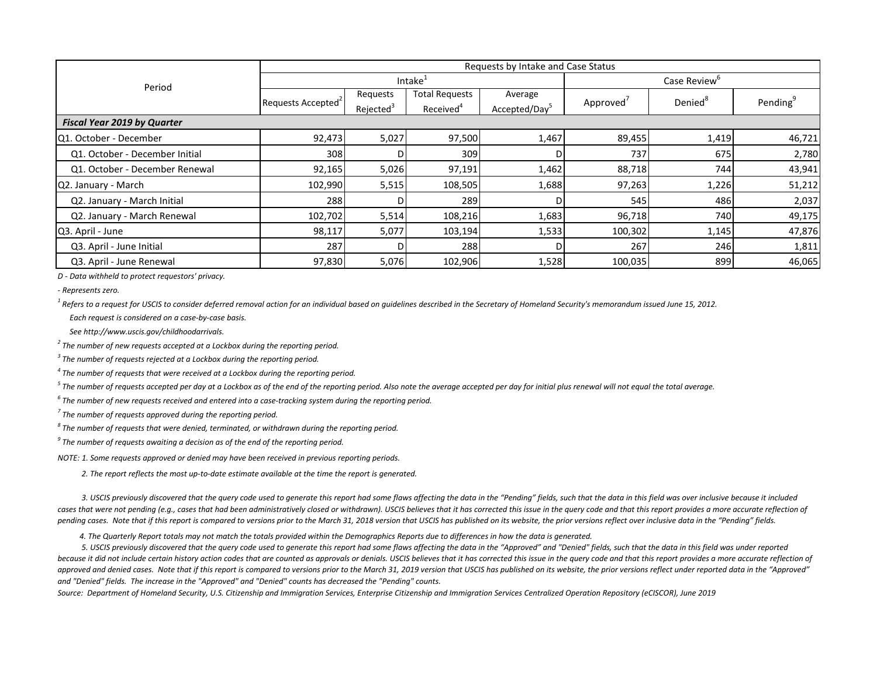|                                    | Requests by Intake and Case Status |                       |                       |                           |                       |                     |         |  |  |
|------------------------------------|------------------------------------|-----------------------|-----------------------|---------------------------|-----------------------|---------------------|---------|--|--|
| Period                             |                                    |                       | Intake <sup>1</sup>   | Case Review <sup>o</sup>  |                       |                     |         |  |  |
|                                    |                                    | Requests              | <b>Total Requests</b> | Average                   |                       | Denied <sup>8</sup> | Pending |  |  |
|                                    | Requests Accepted <sup>2</sup>     | Rejected <sup>3</sup> | Received <sup>4</sup> | Accepted/Day <sup>5</sup> | Approved <sup>'</sup> |                     |         |  |  |
| <b>Fiscal Year 2019 by Quarter</b> |                                    |                       |                       |                           |                       |                     |         |  |  |
| Q1. October - December             | 92,473                             | 5,027                 | 97,500                | 1,467                     | 89,455                | 1,419               | 46,721  |  |  |
| Q1. October - December Initial     | 308                                |                       | 309                   |                           | 737                   | 675                 | 2,780   |  |  |
| Q1. October - December Renewal     | 92,165                             | 5,026                 | 97,191                | 1,462                     | 88,718                | 744                 | 43,941  |  |  |
| Q2. January - March                | 102,990                            | 5,515                 | 108,505               | 1,688                     | 97,263                | 1,226               | 51,212  |  |  |
| Q2. January - March Initial        | 288                                | D.                    | 289                   |                           | 545                   | 486                 | 2,037   |  |  |
| Q2. January - March Renewal        | 102,702                            | 5,514                 | 108,216               | 1,683                     | 96,718                | 740                 | 49,175  |  |  |
| Q3. April - June                   | 98,117                             | 5,077                 | 103,194               | 1,533                     | 100,302               | 1,145               | 47,876  |  |  |
| Q3. April - June Initial           | 287                                | D.                    | 288                   |                           | 267                   | 246                 | 1,811   |  |  |
| Q3. April - June Renewal           | 97,830                             | 5,076                 | 102,906               | 1,528                     | 100,035               | 899                 | 46,065  |  |  |

*D - Data withheld to protect requestors' privacy.*

*- Represents zero.*

<sup>1</sup> Refers to a request for USCIS to consider deferred removal action for an individual based on guidelines described in the Secretary of Homeland Security's memorandum issued June 15, 2012.

 *Each request is considered on a case-by-case basis.*

 *See http://www.uscis.gov/childhoodarrivals.*

*<sup>2</sup> The number of new requests accepted at a Lockbox during the reporting period.*

*<sup>3</sup> The number of requests rejected at a Lockbox during the reporting period.*

*<sup>4</sup> The number of requests that were received at a Lockbox during the reporting period.*

*<sup>5</sup> The number of requests accepted per day at a Lockbox as of the end of the reporting period. Also note the average accepted per day for initial plus renewal will not equal the total average.*

*<sup>6</sup> The number of new requests received and entered into a case-tracking system during the reporting period.*

*<sup>7</sup> The number of requests approved during the reporting period.*

*<sup>8</sup> The number of requests that were denied, terminated, or withdrawn during the reporting period.*

*<sup>9</sup> The number of requests awaiting a decision as of the end of the reporting period.*

*NOTE: 1. Some requests approved or denied may have been received in previous reporting periods.*

 *2. The report reflects the most up-to-date estimate available at the time the report is generated.*

 *3. USCIS previously discovered that the query code used to generate this report had some flaws affecting the data in the "Pending" fields, such that the data in this field was over inclusive because it included*  cases that were not pending (e.g., cases that had been administratively closed or withdrawn). USCIS believes that it has corrected this issue in the query code and that this report provides a more accurate reflection of *pending cases. Note that if this report is compared to versions prior to the March 31, 2018 version that USCIS has published on its website, the prior versions reflect over inclusive data in the "Pending" fields.*

 *4. The Quarterly Report totals may not match the totals provided within the Demographics Reports due to differences in how the data is generated.*

 *5. USCIS previously discovered that the query code used to generate this report had some flaws affecting the data in the "Approved" and "Denied" fields, such that the data in this field was under reported*  because it did not include certain history action codes that are counted as approvals or denials. USCIS believes that it has corrected this issue in the query code and that this report provides a more accurate reflection o approved and denied cases. Note that if this report is compared to versions prior to the March 31, 2019 version that USCIS has published on its website, the prior versions reflect under reported data in the "Approved" *and "Denied" fields. The increase in the "Approved" and "Denied" counts has decreased the "Pending" counts.*

*Source: Department of Homeland Security, U.S. Citizenship and Immigration Services, Enterprise Citizenship and Immigration Services Centralized Operation Repository (eCISCOR), June 2019*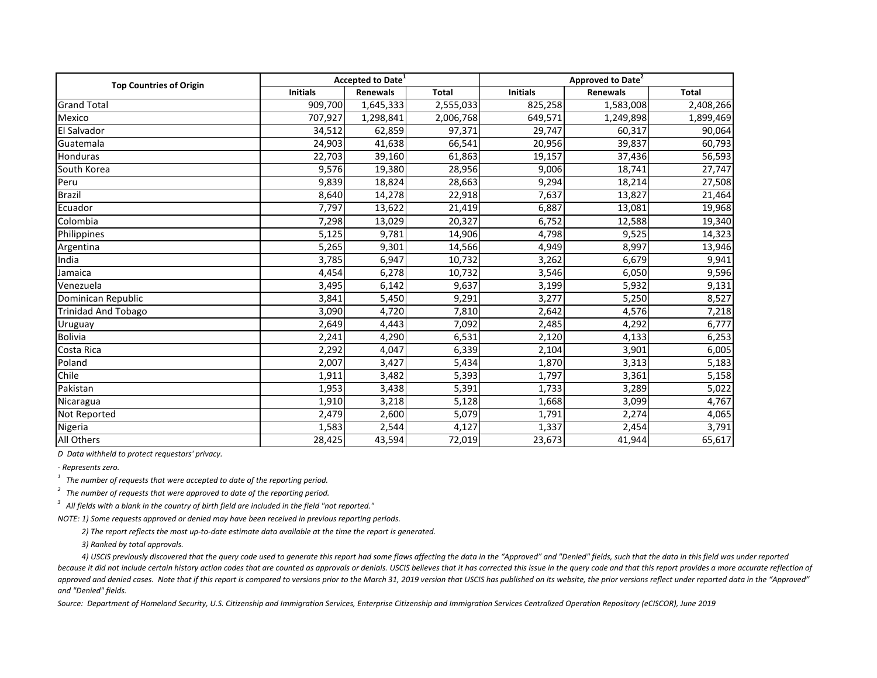| <b>Top Countries of Origin</b> |                 | <b>Accepted to Date<sup>1</sup></b> |                    | <b>Approved to Date<sup>2</sup></b> |           |              |  |
|--------------------------------|-----------------|-------------------------------------|--------------------|-------------------------------------|-----------|--------------|--|
|                                | <b>Initials</b> | <b>Renewals</b>                     | <b>Total</b>       | <b>Initials</b>                     | Renewals  | <b>Total</b> |  |
| <b>Grand Total</b>             | 909,700         | 1,645,333                           | 2,555,033          | 825,258                             | 1,583,008 | 2,408,266    |  |
| Mexico                         | 707,927         | 1,298,841                           | 2,006,768          | 649,571                             | 1,249,898 | 1,899,469    |  |
| El Salvador                    | 34,512          | 62,859                              | 97,371             | 29,747                              | 60,317    | 90,064       |  |
| Guatemala                      | 24,903          | 41,638                              | 66,541             | 20,956                              | 39,837    | 60,793       |  |
| Honduras                       | 22,703          | 39,160                              | 61,863             | 19,157                              | 37,436    | 56,593       |  |
| South Korea                    | 9,576           | 19,380                              | 28,956             | 9,006                               | 18,741    | 27,747       |  |
| Peru                           | 9,839           | 18,824                              | 28,663             | 9,294                               | 18,214    | 27,508       |  |
| Brazil                         | 8,640           | 14,278                              | 22,918             | 7,637                               | 13,827    | 21,464       |  |
| Ecuador                        | 7,797           | 13,622                              | 21,419             | 6,887                               | 13,081    | 19,968       |  |
| Colombia                       | 7,298           | 13,029                              | 20,327             | 6,752                               | 12,588    | 19,340       |  |
| Philippines                    | 5,125           | 9,781                               | 14,906             | 4,798                               | 9,525     | 14,323       |  |
| Argentina                      | 5,265           | 9,301                               | 14,566             | 4,949                               | 8,997     | 13,946       |  |
| India                          | 3,785           | 6,947                               | 10,732             | 3,262                               | 6,679     | 9,941        |  |
| Jamaica                        | 4,454           | 6,278                               | 10,732             | 3,546                               | 6,050     | 9,596        |  |
| Venezuela                      | 3,495           | 6,142                               | $\overline{9,637}$ | 3,199                               | 5,932     | 9,131        |  |
| Dominican Republic             | 3,841           | 5,450                               | 9,291              | 3,277                               | 5,250     | 8,527        |  |
| <b>Trinidad And Tobago</b>     | 3,090           | 4,720                               | 7,810              | 2,642                               | 4,576     | 7,218        |  |
| Uruguay                        | 2,649           | 4,443                               | 7,092              | 2,485                               | 4,292     | 6,777        |  |
| <b>Bolivia</b>                 | 2,241           | 4,290                               | 6,531              | 2,120                               | 4,133     | 6,253        |  |
| Costa Rica                     | 2,292           | 4,047                               | 6,339              | 2,104                               | 3,901     | 6,005        |  |
| Poland                         | 2,007           | 3,427                               | 5,434              | 1,870                               | 3,313     | 5,183        |  |
| Chile                          | 1,911           | 3,482                               | 5,393              | 1,797                               | 3,361     | 5,158        |  |
| Pakistan                       | 1,953           | 3,438                               | 5,391              | 1,733                               | 3,289     | 5,022        |  |
| Nicaragua                      | 1,910           | 3,218                               | 5,128              | 1,668                               | 3,099     | 4,767        |  |
| Not Reported                   | 2,479           | 2,600                               | 5,079              | 1,791                               | 2,274     | 4,065        |  |
| Nigeria                        | 1,583           | 2,544                               | 4,127              | 1,337                               | 2,454     | 3,791        |  |
| All Others                     | 28,425          | 43,594                              | 72,019             | 23,673                              | 41,944    | 65,617       |  |

*D Data withheld to protect requestors' privacy.*

*- Represents zero.*

*1 The number of requests that were accepted to date of the reporting period.*

*2 The number of requests that were approved to date of the reporting period.*

*3 All fields with a blank in the country of birth field are included in the field "not reported."*

*NOTE: 1) Some requests approved or denied may have been received in previous reporting periods.* 

 *2) The report reflects the most up-to-date estimate data available at the time the report is generated.*

 *3) Ranked by total approvals.*

 *4) USCIS previously discovered that the query code used to generate this report had some flaws affecting the data in the "Approved" and "Denied" fields, such that the data in this field was under reported*  because it did not include certain history action codes that are counted as approvals or denials. USCIS believes that it has corrected this issue in the query code and that this report provides a more accurate reflection o approved and denied cases. Note that if this report is compared to versions prior to the March 31, 2019 version that USCIS has published on its website, the prior versions reflect under reported data in the "Approved" *and "Denied" fields.* 

*Source: Department of Homeland Security, U.S. Citizenship and Immigration Services, Enterprise Citizenship and Immigration Services Centralized Operation Repository (eCISCOR), June 2019*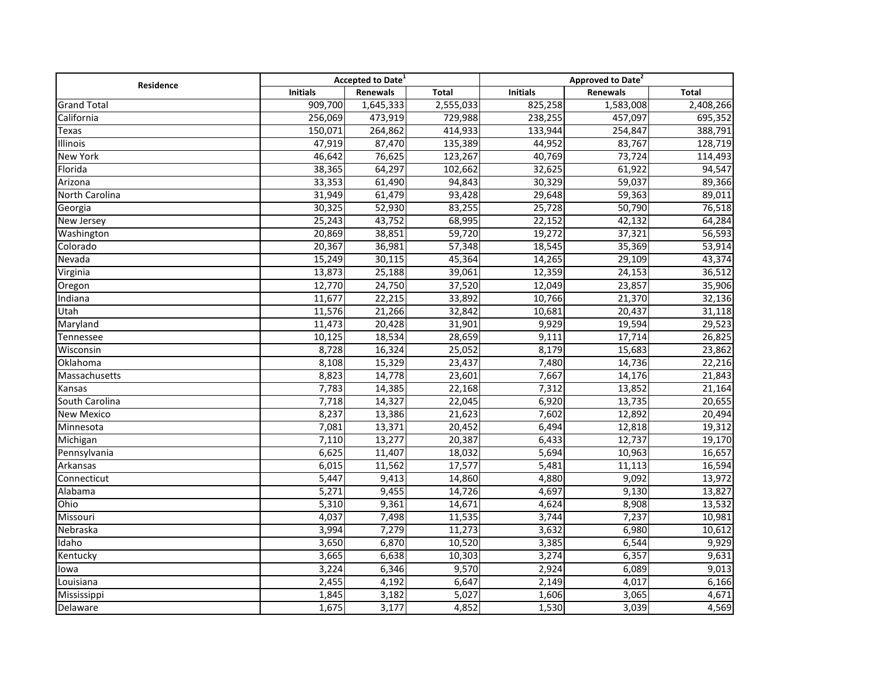| Residence          | Accepted to Date <sup>1</sup> |           |              | Approved to Date <sup>2</sup> |           |              |
|--------------------|-------------------------------|-----------|--------------|-------------------------------|-----------|--------------|
|                    | <b>Initials</b>               | Renewals  | <b>Total</b> | <b>Initials</b>               | Renewals  | <b>Total</b> |
| <b>Grand Total</b> | 909,700                       | 1,645,333 | 2,555,033    | 825,258                       | 1,583,008 | 2,408,266    |
| California         | 256,069                       | 473,919   | 729,988      | 238,255                       | 457,097   | 695,352      |
| Texas              | 150,071                       | 264,862   | 414,933      | 133,944                       | 254,847   | 388,791      |
| <b>Illinois</b>    | 47,919                        | 87,470    | 135,389      | 44,952                        | 83,767    | 128,719      |
| <b>New York</b>    | 46,642                        | 76,625    | 123,267      | 40,769                        | 73,724    | 114,493      |
| Florida            | 38,365                        | 64,297    | 102,662      | 32,625                        | 61,922    | 94,547       |
| Arizona            | 33,353                        | 61,490    | 94,843       | 30,329                        | 59,037    | 89,366       |
| North Carolina     | 31,949                        | 61,479    | 93,428       | 29,648                        | 59,363    | 89,011       |
| Georgia            | 30,325                        | 52,930    | 83,255       | 25,728                        | 50,790    | 76,518       |
| New Jersey         | 25,243                        | 43,752    | 68,995       | 22,152                        | 42,132    | 64,284       |
| Washington         | 20,869                        | 38,851    | 59,720       | 19,272                        | 37,321    | 56,593       |
| Colorado           | 20,367                        | 36,981    | 57,348       | 18,545                        | 35,369    | 53,914       |
| Nevada             | 15,249                        | 30,115    | 45,364       | 14,265                        | 29,109    | 43,374       |
| Virginia           | 13,873                        | 25,188    | 39,061       | 12,359                        | 24,153    | 36,512       |
| Oregon             | 12,770                        | 24,750    | 37,520       | 12,049                        | 23,857    | 35,906       |
| Indiana            | 11,677                        | 22,215    | 33,892       | 10,766                        | 21,370    | 32,136       |
| $\overline{Ut}ah$  | 11,576                        | 21,266    | 32,842       | 10,681                        | 20,437    | 31,118       |
| Maryland           | 11,473                        | 20,428    | 31,901       | 9,929                         | 19,594    | 29,523       |
| Tennessee          | 10,125                        | 18,534    | 28,659       | 9,111                         | 17,714    | 26,825       |
| Wisconsin          | 8,728                         | 16,324    | 25,052       | 8,179                         | 15,683    | 23,862       |
| Oklahoma           | 8,108                         | 15,329    | 23,437       | 7,480                         | 14,736    | 22,216       |
| Massachusetts      | 8,823                         | 14,778    | 23,601       | 7,667                         | 14,176    | 21,843       |
| Kansas             | 7,783                         | 14,385    | 22,168       | 7,312                         | 13,852    | 21,164       |
| South Carolina     | 7,718                         | 14,327    | 22,045       | 6,920                         | 13,735    | 20,655       |
| <b>New Mexico</b>  | 8,237                         | 13,386    | 21,623       | 7,602                         | 12,892    | 20,494       |
| Minnesota          | 7,081                         | 13,371    | 20,452       | 6,494                         | 12,818    | 19,312       |
| Michigan           | 7,110                         | 13,277    | 20,387       | 6,433                         | 12,737    | 19,170       |
| Pennsylvania       | 6,625                         | 11,407    | 18,032       | 5,694                         | 10,963    | 16,657       |
| Arkansas           | 6,015                         | 11,562    | 17,577       | 5,481                         | 11,113    | 16,594       |
| Connecticut        | 5,447                         | 9,413     | 14,860       | 4,880                         | 9,092     | 13,972       |
| Alabama            | 5,271                         | 9,455     | 14,726       | 4,697                         | 9,130     | 13,827       |
| Ohio               | 5,310                         | 9,361     | 14,671       | 4,624                         | 8,908     | 13,532       |
| Missouri           | 4,037                         | 7,498     | 11,535       | 3,744                         | 7,237     | 10,981       |
| Nebraska           | 3,994                         | 7,279     | 11,273       | 3,632                         | 6,980     | 10,612       |
| Idaho              | 3,650                         | 6,870     | 10,520       | 3,385                         | 6,544     | 9,929        |
| Kentucky           | 3,665                         | 6,638     | 10,303       | 3,274                         | 6,357     | 9,631        |
| lowa               | 3,224                         | 6,346     | 9,570        | 2,924                         | 6,089     | 9,013        |
| Louisiana          | 2,455                         | 4,192     | 6,647        | 2,149                         | 4,017     | 6,166        |
| Mississippi        | 1,845                         | 3,182     | 5,027        | 1,606                         | 3,065     | 4,671        |
| Delaware           | 1,675                         | 3,177     | 4,852        | 1,530                         | 3,039     | 4,569        |